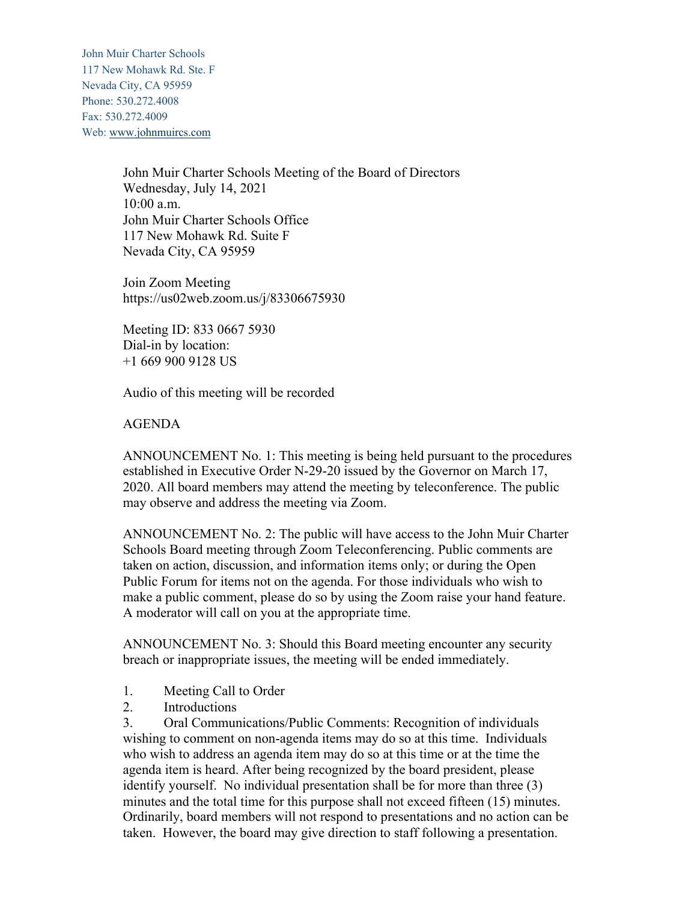John Muir Charter Schools 117 New Mohawk Rd. Ste. F Nevada City, CA 95959 Phone: 530.272.4008 Fax: 530.272.4009 Web: www.johnmuircs.com

> John Muir Charter Schools Meeting of the Board of Directors Wednesday, July 14, 2021 10:00 a.m. John Muir Charter Schools Office 117 New Mohawk Rd. Suite F Nevada City, CA 95959

Join Zoom Meeting https://us02web.zoom.us/j/83306675930

Meeting ID: 833 0667 5930 Dial-in by location: +1 669 900 9128 US

Audio of this meeting will be recorded

## AGENDA

ANNOUNCEMENT No. 1: This meeting is being held pursuant to the procedures established in Executive Order N-29-20 issued by the Governor on March 17, 2020. All board members may attend the meeting by teleconference. The public may observe and address the meeting via Zoom.

ANNOUNCEMENT No. 2: The public will have access to the John Muir Charter Schools Board meeting through Zoom Teleconferencing. Public comments are taken on action, discussion, and information items only; or during the Open Public Forum for items not on the agenda. For those individuals who wish to make a public comment, please do so by using the Zoom raise your hand feature. A moderator will call on you at the appropriate time.

ANNOUNCEMENT No. 3: Should this Board meeting encounter any security breach or inappropriate issues, the meeting will be ended immediately.

- 1. Meeting Call to Order
- 2. Introductions

3. Oral Communications/Public Comments: Recognition of individuals wishing to comment on non-agenda items may do so at this time. Individuals who wish to address an agenda item may do so at this time or at the time the agenda item is heard. After being recognized by the board president, please identify yourself. No individual presentation shall be for more than three (3) minutes and the total time for this purpose shall not exceed fifteen (15) minutes. Ordinarily, board members will not respond to presentations and no action can be taken. However, the board may give direction to staff following a presentation.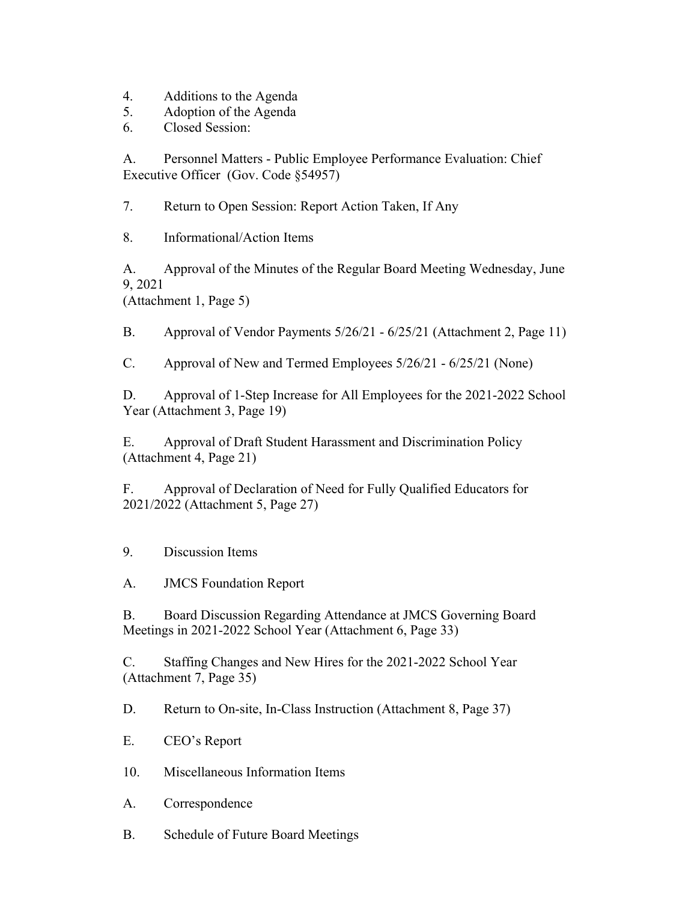- 4. Additions to the Agenda
- 5. Adoption of the Agenda
- 6. Closed Session:

A. Personnel Matters - Public Employee Performance Evaluation: Chief Executive Officer (Gov. Code §54957)

7. Return to Open Session: Report Action Taken, If Any

8. Informational/Action Items

A. Approval of the Minutes of the Regular Board Meeting Wednesday, June 9, 2021

(Attachment 1, Page 5)

B. Approval of Vendor Payments 5/26/21 - 6/25/21 (Attachment 2, Page 11)

C. Approval of New and Termed Employees 5/26/21 - 6/25/21 (None)

D. Approval of 1-Step Increase for All Employees for the 2021-2022 School Year (Attachment 3, Page 19)

E. Approval of Draft Student Harassment and Discrimination Policy (Attachment 4, Page 21)

F. Approval of Declaration of Need for Fully Qualified Educators for 2021/2022 (Attachment 5, Page 27)

## 9. Discussion Items

A. JMCS Foundation Report

B. Board Discussion Regarding Attendance at JMCS Governing Board Meetings in 2021-2022 School Year (Attachment 6, Page 33)

C. Staffing Changes and New Hires for the 2021-2022 School Year (Attachment 7, Page 35)

D. Return to On-site, In-Class Instruction (Attachment 8, Page 37)

- E. CEO's Report
- 10. Miscellaneous Information Items
- A. Correspondence
- B. Schedule of Future Board Meetings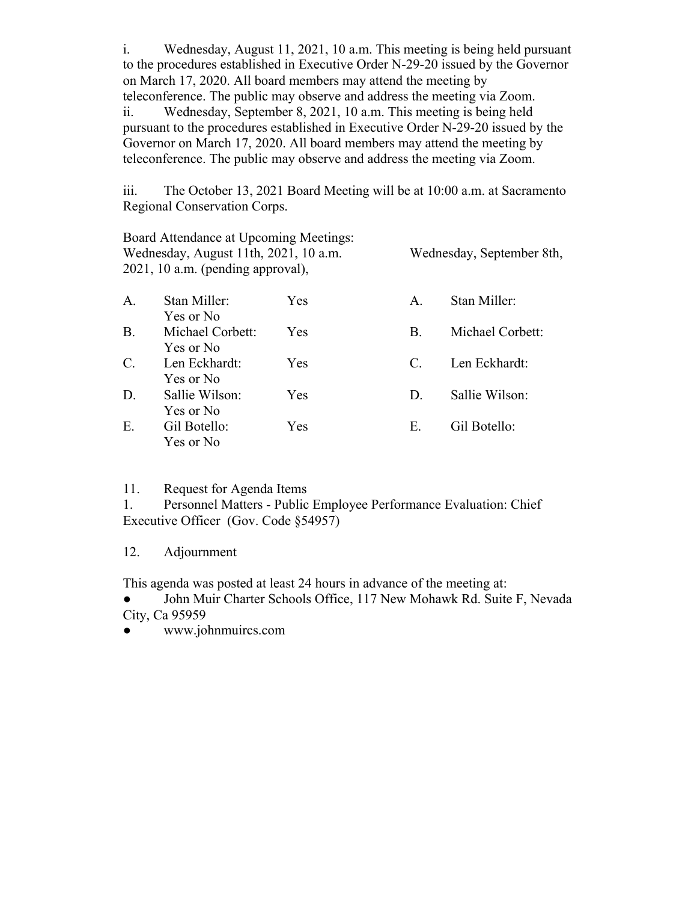i. Wednesday, August 11, 2021, 10 a.m. This meeting is being held pursuant to the procedures established in Executive Order N-29-20 issued by the Governor on March 17, 2020. All board members may attend the meeting by teleconference. The public may observe and address the meeting via Zoom. ii. Wednesday, September 8, 2021, 10 a.m. This meeting is being held pursuant to the procedures established in Executive Order N-29-20 issued by the Governor on March 17, 2020. All board members may attend the meeting by teleconference. The public may observe and address the meeting via Zoom.

iii. The October 13, 2021 Board Meeting will be at 10:00 a.m. at Sacramento Regional Conservation Corps.

| Board Attendance at Upcoming Meetings:<br>Wednesday, August 11th, 2021, 10 a.m. |                                   |            | Wednesday, September 8th, |                  |
|---------------------------------------------------------------------------------|-----------------------------------|------------|---------------------------|------------------|
|                                                                                 | 2021, 10 a.m. (pending approval), |            |                           |                  |
| A.                                                                              | Stan Miller:<br>Yes or No         | <b>Yes</b> | A <sub>1</sub>            | Stan Miller:     |
| <b>B.</b>                                                                       | Michael Corbett:<br>Yes or No     | Yes        | В.                        | Michael Corbett: |
| $C_{\cdot}$                                                                     | Len Eckhardt:<br>Yes or No        | Yes        | $\mathcal{C}_{\cdot}$     | Len Eckhardt:    |
| D.                                                                              | Sallie Wilson:<br>Yes or No       | Yes        | D.                        | Sallie Wilson:   |
| Ε.                                                                              | Gil Botello:<br>Yes or No         | Yes        | Е.                        | Gil Botello:     |

11. Request for Agenda Items

1. Personnel Matters - Public Employee Performance Evaluation: Chief Executive Officer (Gov. Code §54957)

12. Adjournment

This agenda was posted at least 24 hours in advance of the meeting at:

John Muir Charter Schools Office, 117 New Mohawk Rd. Suite F, Nevada City, Ca 95959

● www.johnmuircs.com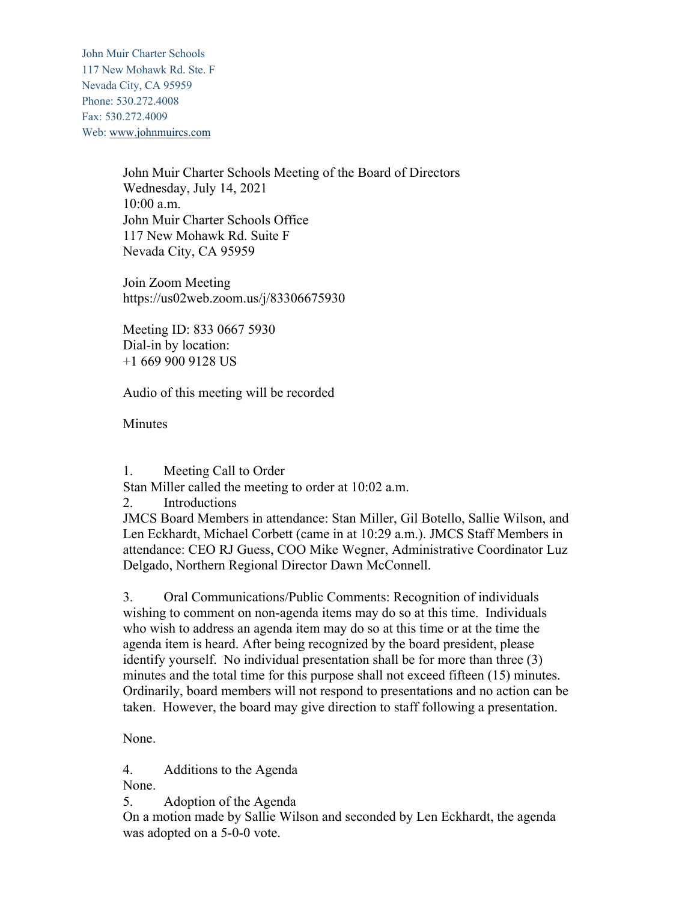John Muir Charter Schools 117 New Mohawk Rd. Ste. F Nevada City, CA 95959 Phone: 530.272.4008 Fax: 530.272.4009 Web: www.johnmuircs.com

> John Muir Charter Schools Meeting of the Board of Directors Wednesday, July 14, 2021 10:00 a.m. John Muir Charter Schools Office 117 New Mohawk Rd. Suite F Nevada City, CA 95959

Join Zoom Meeting https://us02web.zoom.us/j/83306675930

Meeting ID: 833 0667 5930 Dial-in by location: +1 669 900 9128 US

Audio of this meeting will be recorded

**Minutes** 

1. Meeting Call to Order

Stan Miller called the meeting to order at 10:02 a.m.

2. Introductions

JMCS Board Members in attendance: Stan Miller, Gil Botello, Sallie Wilson, and Len Eckhardt, Michael Corbett (came in at 10:29 a.m.). JMCS Staff Members in attendance: CEO RJ Guess, COO Mike Wegner, Administrative Coordinator Luz Delgado, Northern Regional Director Dawn McConnell.

3. Oral Communications/Public Comments: Recognition of individuals wishing to comment on non-agenda items may do so at this time. Individuals who wish to address an agenda item may do so at this time or at the time the agenda item is heard. After being recognized by the board president, please identify yourself. No individual presentation shall be for more than three (3) minutes and the total time for this purpose shall not exceed fifteen (15) minutes. Ordinarily, board members will not respond to presentations and no action can be taken. However, the board may give direction to staff following a presentation.

None.

4. Additions to the Agenda

None.

5. Adoption of the Agenda

On a motion made by Sallie Wilson and seconded by Len Eckhardt, the agenda was adopted on a 5-0-0 vote.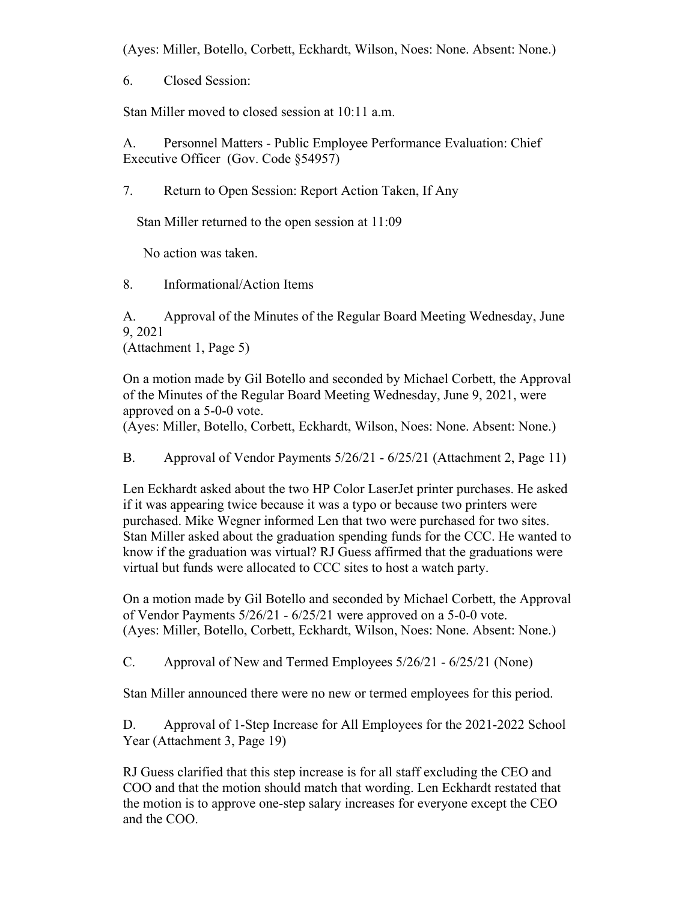(Ayes: Miller, Botello, Corbett, Eckhardt, Wilson, Noes: None. Absent: None.)

6. Closed Session:

Stan Miller moved to closed session at 10:11 a.m.

A. Personnel Matters - Public Employee Performance Evaluation: Chief Executive Officer (Gov. Code §54957)

7. Return to Open Session: Report Action Taken, If Any

Stan Miller returned to the open session at 11:09

No action was taken.

8. Informational/Action Items

A. Approval of the Minutes of the Regular Board Meeting Wednesday, June 9, 2021 (Attachment 1, Page 5)

On a motion made by Gil Botello and seconded by Michael Corbett, the Approval of the Minutes of the Regular Board Meeting Wednesday, June 9, 2021, were approved on a 5-0-0 vote. (Ayes: Miller, Botello, Corbett, Eckhardt, Wilson, Noes: None. Absent: None.)

B. Approval of Vendor Payments 5/26/21 - 6/25/21 (Attachment 2, Page 11)

Len Eckhardt asked about the two HP Color LaserJet printer purchases. He asked if it was appearing twice because it was a typo or because two printers were purchased. Mike Wegner informed Len that two were purchased for two sites. Stan Miller asked about the graduation spending funds for the CCC. He wanted to know if the graduation was virtual? RJ Guess affirmed that the graduations were virtual but funds were allocated to CCC sites to host a watch party.

On a motion made by Gil Botello and seconded by Michael Corbett, the Approval of Vendor Payments 5/26/21 - 6/25/21 were approved on a 5-0-0 vote. (Ayes: Miller, Botello, Corbett, Eckhardt, Wilson, Noes: None. Absent: None.)

C. Approval of New and Termed Employees 5/26/21 - 6/25/21 (None)

Stan Miller announced there were no new or termed employees for this period.

D. Approval of 1-Step Increase for All Employees for the 2021-2022 School Year (Attachment 3, Page 19)

RJ Guess clarified that this step increase is for all staff excluding the CEO and COO and that the motion should match that wording. Len Eckhardt restated that the motion is to approve one-step salary increases for everyone except the CEO and the COO.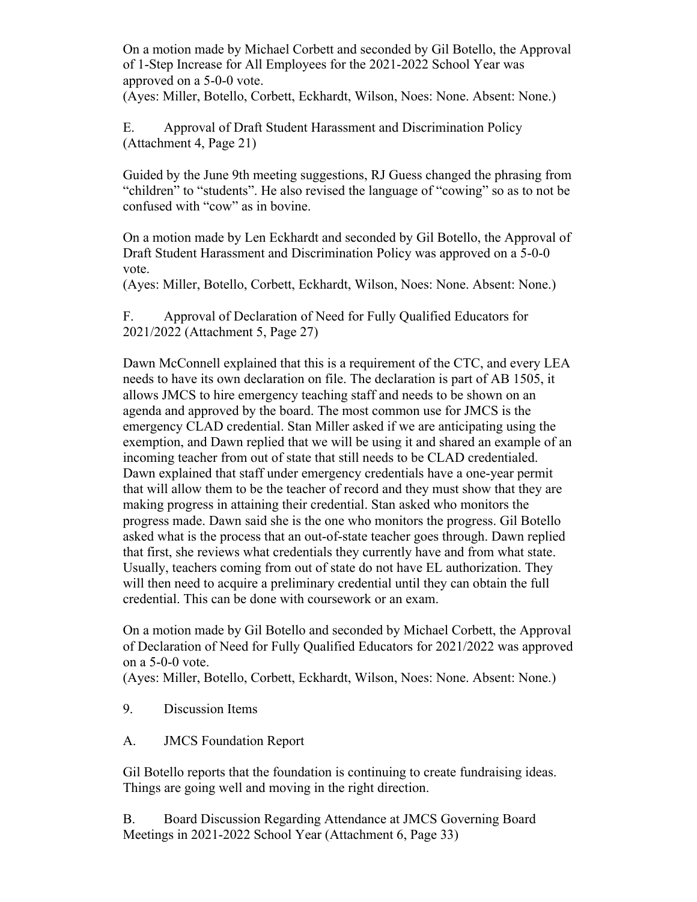On a motion made by Michael Corbett and seconded by Gil Botello, the Approval of 1-Step Increase for All Employees for the 2021-2022 School Year was approved on a 5-0-0 vote.

(Ayes: Miller, Botello, Corbett, Eckhardt, Wilson, Noes: None. Absent: None.)

E. Approval of Draft Student Harassment and Discrimination Policy (Attachment 4, Page 21)

Guided by the June 9th meeting suggestions, RJ Guess changed the phrasing from "children" to "students". He also revised the language of "cowing" so as to not be confused with "cow" as in bovine.

On a motion made by Len Eckhardt and seconded by Gil Botello, the Approval of Draft Student Harassment and Discrimination Policy was approved on a 5-0-0 vote.

(Ayes: Miller, Botello, Corbett, Eckhardt, Wilson, Noes: None. Absent: None.)

F. Approval of Declaration of Need for Fully Qualified Educators for 2021/2022 (Attachment 5, Page 27)

Dawn McConnell explained that this is a requirement of the CTC, and every LEA needs to have its own declaration on file. The declaration is part of AB 1505, it allows JMCS to hire emergency teaching staff and needs to be shown on an agenda and approved by the board. The most common use for JMCS is the emergency CLAD credential. Stan Miller asked if we are anticipating using the exemption, and Dawn replied that we will be using it and shared an example of an incoming teacher from out of state that still needs to be CLAD credentialed. Dawn explained that staff under emergency credentials have a one-year permit that will allow them to be the teacher of record and they must show that they are making progress in attaining their credential. Stan asked who monitors the progress made. Dawn said she is the one who monitors the progress. Gil Botello asked what is the process that an out-of-state teacher goes through. Dawn replied that first, she reviews what credentials they currently have and from what state. Usually, teachers coming from out of state do not have EL authorization. They will then need to acquire a preliminary credential until they can obtain the full credential. This can be done with coursework or an exam.

On a motion made by Gil Botello and seconded by Michael Corbett, the Approval of Declaration of Need for Fully Qualified Educators for 2021/2022 was approved on a 5-0-0 vote.

(Ayes: Miller, Botello, Corbett, Eckhardt, Wilson, Noes: None. Absent: None.)

- 9. Discussion Items
- A. JMCS Foundation Report

Gil Botello reports that the foundation is continuing to create fundraising ideas. Things are going well and moving in the right direction.

B. Board Discussion Regarding Attendance at JMCS Governing Board Meetings in 2021-2022 School Year (Attachment 6, Page 33)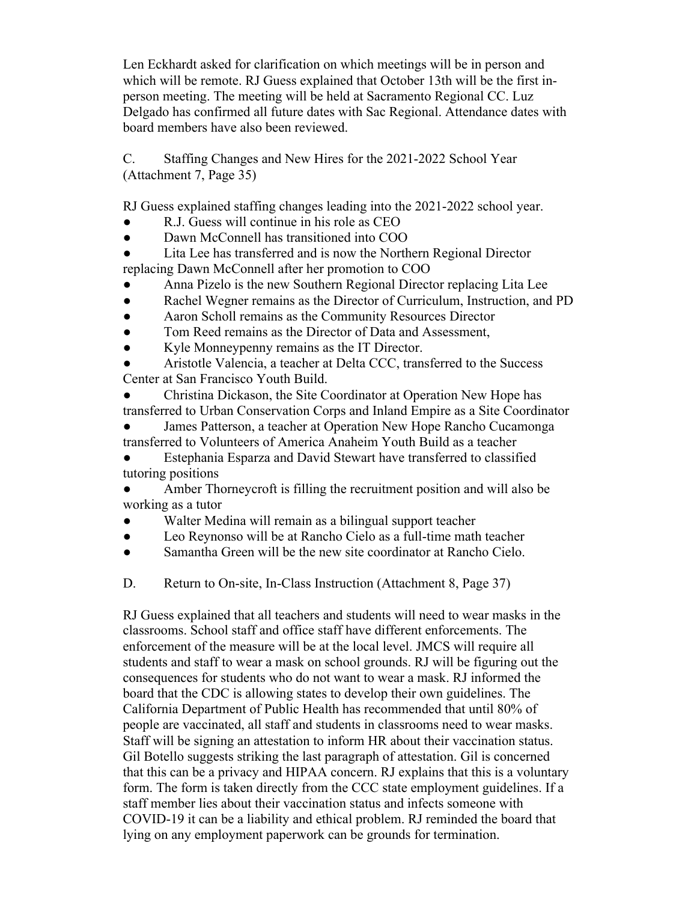Len Eckhardt asked for clarification on which meetings will be in person and which will be remote. RJ Guess explained that October 13th will be the first inperson meeting. The meeting will be held at Sacramento Regional CC. Luz Delgado has confirmed all future dates with Sac Regional. Attendance dates with board members have also been reviewed.

C. Staffing Changes and New Hires for the 2021-2022 School Year (Attachment 7, Page 35)

RJ Guess explained staffing changes leading into the 2021-2022 school year.

- R.J. Guess will continue in his role as CEO
- Dawn McConnell has transitioned into COO

Lita Lee has transferred and is now the Northern Regional Director replacing Dawn McConnell after her promotion to COO

- Anna Pizelo is the new Southern Regional Director replacing Lita Lee
- Rachel Wegner remains as the Director of Curriculum, Instruction, and PD
- Aaron Scholl remains as the Community Resources Director
- Tom Reed remains as the Director of Data and Assessment,
- Kyle Monneypenny remains as the IT Director.

Aristotle Valencia, a teacher at Delta CCC, transferred to the Success Center at San Francisco Youth Build.

Christina Dickason, the Site Coordinator at Operation New Hope has transferred to Urban Conservation Corps and Inland Empire as a Site Coordinator

James Patterson, a teacher at Operation New Hope Rancho Cucamonga transferred to Volunteers of America Anaheim Youth Build as a teacher

Estephania Esparza and David Stewart have transferred to classified tutoring positions

Amber Thorneycroft is filling the recruitment position and will also be working as a tutor

- Walter Medina will remain as a bilingual support teacher
- Leo Reynonso will be at Rancho Cielo as a full-time math teacher
- Samantha Green will be the new site coordinator at Rancho Cielo.

D. Return to On-site, In-Class Instruction (Attachment 8, Page 37)

RJ Guess explained that all teachers and students will need to wear masks in the classrooms. School staff and office staff have different enforcements. The enforcement of the measure will be at the local level. JMCS will require all students and staff to wear a mask on school grounds. RJ will be figuring out the consequences for students who do not want to wear a mask. RJ informed the board that the CDC is allowing states to develop their own guidelines. The California Department of Public Health has recommended that until 80% of people are vaccinated, all staff and students in classrooms need to wear masks. Staff will be signing an attestation to inform HR about their vaccination status. Gil Botello suggests striking the last paragraph of attestation. Gil is concerned that this can be a privacy and HIPAA concern. RJ explains that this is a voluntary form. The form is taken directly from the CCC state employment guidelines. If a staff member lies about their vaccination status and infects someone with COVID-19 it can be a liability and ethical problem. RJ reminded the board that lying on any employment paperwork can be grounds for termination.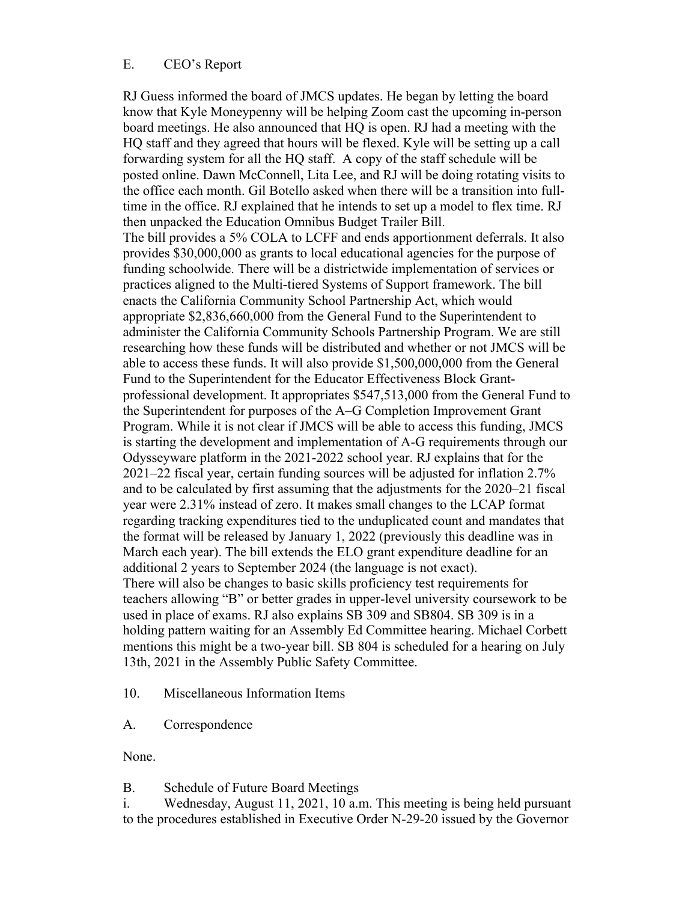## E. CEO's Report

RJ Guess informed the board of JMCS updates. He began by letting the board know that Kyle Moneypenny will be helping Zoom cast the upcoming in-person board meetings. He also announced that HQ is open. RJ had a meeting with the HQ staff and they agreed that hours will be flexed. Kyle will be setting up a call forwarding system for all the HQ staff. A copy of the staff schedule will be posted online. Dawn McConnell, Lita Lee, and RJ will be doing rotating visits to the office each month. Gil Botello asked when there will be a transition into fulltime in the office. RJ explained that he intends to set up a model to flex time. RJ then unpacked the Education Omnibus Budget Trailer Bill. The bill provides a 5% COLA to LCFF and ends apportionment deferrals. It also provides \$30,000,000 as grants to local educational agencies for the purpose of funding schoolwide. There will be a districtwide implementation of services or practices aligned to the Multi-tiered Systems of Support framework. The bill enacts the California Community School Partnership Act, which would appropriate \$2,836,660,000 from the General Fund to the Superintendent to administer the California Community Schools Partnership Program. We are still researching how these funds will be distributed and whether or not JMCS will be able to access these funds. It will also provide \$1,500,000,000 from the General Fund to the Superintendent for the Educator Effectiveness Block Grantprofessional development. It appropriates \$547,513,000 from the General Fund to the Superintendent for purposes of the A–G Completion Improvement Grant Program. While it is not clear if JMCS will be able to access this funding, JMCS is starting the development and implementation of A-G requirements through our Odysseyware platform in the 2021-2022 school year. RJ explains that for the 2021–22 fiscal year, certain funding sources will be adjusted for inflation 2.7% and to be calculated by first assuming that the adjustments for the 2020–21 fiscal year were 2.31% instead of zero. It makes small changes to the LCAP format regarding tracking expenditures tied to the unduplicated count and mandates that the format will be released by January 1, 2022 (previously this deadline was in March each year). The bill extends the ELO grant expenditure deadline for an additional 2 years to September 2024 (the language is not exact). There will also be changes to basic skills proficiency test requirements for teachers allowing "B" or better grades in upper-level university coursework to be used in place of exams. RJ also explains SB 309 and SB804. SB 309 is in a holding pattern waiting for an Assembly Ed Committee hearing. Michael Corbett mentions this might be a two-year bill. SB 804 is scheduled for a hearing on July 13th, 2021 in the Assembly Public Safety Committee.

10. Miscellaneous Information Items

A. Correspondence

None.

B. Schedule of Future Board Meetings

i. Wednesday, August 11, 2021, 10 a.m. This meeting is being held pursuant to the procedures established in Executive Order N-29-20 issued by the Governor